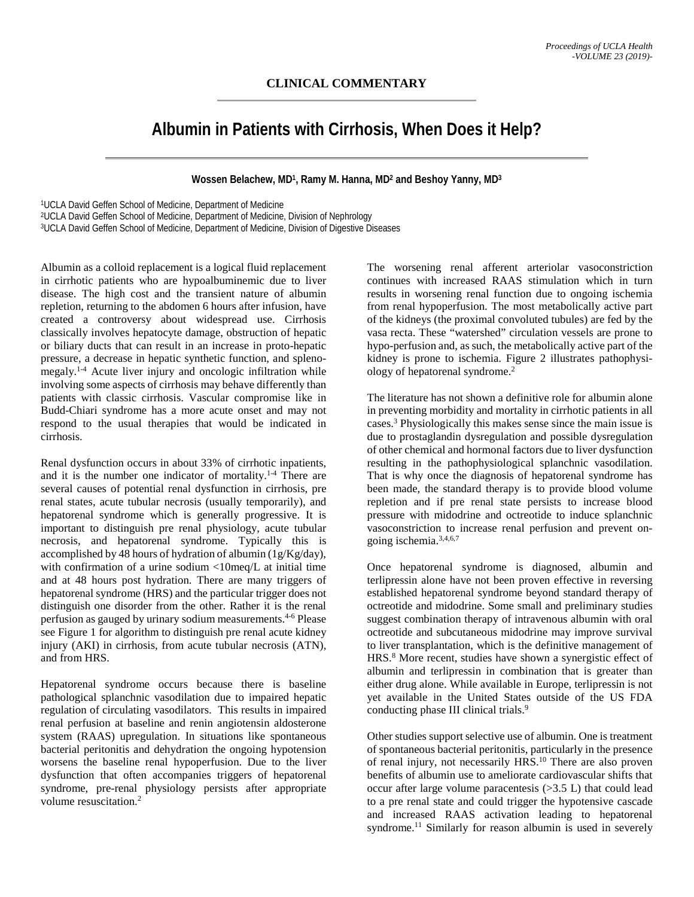## **CLINICAL COMMENTARY**

## **Albumin in Patients with Cirrhosis, When Does it Help?**

**Wossen Belachew, MD1, Ramy M. Hanna, MD2 and Beshoy Yanny, MD3**

1UCLA David Geffen School of Medicine, Department of Medicine

2UCLA David Geffen School of Medicine, Department of Medicine, Division of Nephrology

3UCLA David Geffen School of Medicine, Department of Medicine, Division of Digestive Diseases

Albumin as a colloid replacement is a logical fluid replacement in cirrhotic patients who are hypoalbuminemic due to liver disease. The high cost and the transient nature of albumin repletion, returning to the abdomen 6 hours after infusion, have created a controversy about widespread use. Cirrhosis classically involves hepatocyte damage, obstruction of hepatic or biliary ducts that can result in an increase in proto-hepatic pressure, a decrease in hepatic synthetic function, and splenomegaly.1-4 Acute liver injury and oncologic infiltration while involving some aspects of cirrhosis may behave differently than patients with classic cirrhosis. Vascular compromise like in Budd-Chiari syndrome has a more acute onset and may not respond to the usual therapies that would be indicated in cirrhosis.

Renal dysfunction occurs in about 33% of cirrhotic inpatients, and it is the number one indicator of mortality.<sup>1-4</sup> There are several causes of potential renal dysfunction in cirrhosis, pre renal states, acute tubular necrosis (usually temporarily), and hepatorenal syndrome which is generally progressive. It is important to distinguish pre renal physiology, acute tubular necrosis, and hepatorenal syndrome. Typically this is accomplished by 48 hours of hydration of albumin (1g/Kg/day), with confirmation of a urine sodium <10meq/L at initial time and at 48 hours post hydration. There are many triggers of hepatorenal syndrome (HRS) and the particular trigger does not distinguish one disorder from the other. Rather it is the renal perfusion as gauged by urinary sodium measurements.4-6 Please see Figure 1 for algorithm to distinguish pre renal acute kidney injury (AKI) in cirrhosis, from acute tubular necrosis (ATN), and from HRS.

Hepatorenal syndrome occurs because there is baseline pathological splanchnic vasodilation due to impaired hepatic regulation of circulating vasodilators. This results in impaired renal perfusion at baseline and renin angiotensin aldosterone system (RAAS) upregulation. In situations like spontaneous bacterial peritonitis and dehydration the ongoing hypotension worsens the baseline renal hypoperfusion. Due to the liver dysfunction that often accompanies triggers of hepatorenal syndrome, pre-renal physiology persists after appropriate volume resuscitation.<sup>2</sup>

The worsening renal afferent arteriolar vasoconstriction continues with increased RAAS stimulation which in turn results in worsening renal function due to ongoing ischemia from renal hypoperfusion. The most metabolically active part of the kidneys (the proximal convoluted tubules) are fed by the vasa recta. These "watershed" circulation vessels are prone to hypo-perfusion and, as such, the metabolically active part of the kidney is prone to ischemia. Figure 2 illustrates pathophysiology of hepatorenal syndrome.2

The literature has not shown a definitive role for albumin alone in preventing morbidity and mortality in cirrhotic patients in all cases.3 Physiologically this makes sense since the main issue is due to prostaglandin dysregulation and possible dysregulation of other chemical and hormonal factors due to liver dysfunction resulting in the pathophysiological splanchnic vasodilation. That is why once the diagnosis of hepatorenal syndrome has been made, the standard therapy is to provide blood volume repletion and if pre renal state persists to increase blood pressure with midodrine and octreotide to induce splanchnic vasoconstriction to increase renal perfusion and prevent ongoing ischemia.3,4,6,7

Once hepatorenal syndrome is diagnosed, albumin and terlipressin alone have not been proven effective in reversing established hepatorenal syndrome beyond standard therapy of octreotide and midodrine. Some small and preliminary studies suggest combination therapy of intravenous albumin with oral octreotide and subcutaneous midodrine may improve survival to liver transplantation, which is the definitive management of HRS.8 More recent, studies have shown a synergistic effect of albumin and terlipressin in combination that is greater than either drug alone. While available in Europe, terlipressin is not yet available in the United States outside of the US FDA conducting phase III clinical trials.<sup>9</sup>

Other studies support selective use of albumin. One is treatment of spontaneous bacterial peritonitis, particularly in the presence of renal injury, not necessarily HRS.<sup>10</sup> There are also proven benefits of albumin use to ameliorate cardiovascular shifts that occur after large volume paracentesis (>3.5 L) that could lead to a pre renal state and could trigger the hypotensive cascade and increased RAAS activation leading to hepatorenal syndrome.<sup>11</sup> Similarly for reason albumin is used in severely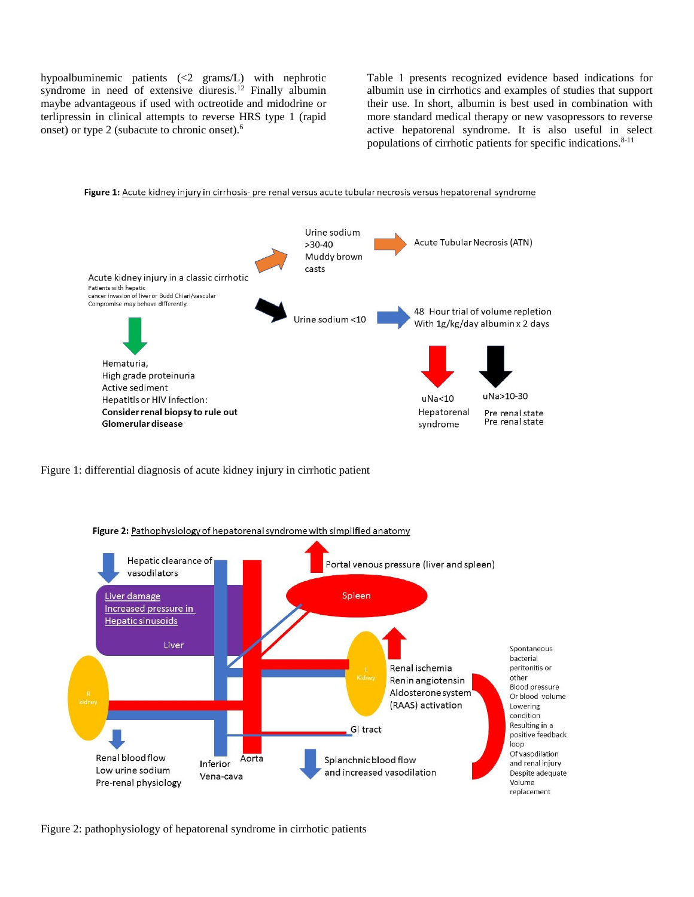hypoalbuminemic patients (<2 grams/L) with nephrotic syndrome in need of extensive diuresis.12 Finally albumin maybe advantageous if used with octreotide and midodrine or terlipressin in clinical attempts to reverse HRS type 1 (rapid onset) or type 2 (subacute to chronic onset). 6

Table 1 presents recognized evidence based indications for albumin use in cirrhotics and examples of studies that support their use. In short, albumin is best used in combination with more standard medical therapy or new vasopressors to reverse active hepatorenal syndrome. It is also useful in select populations of cirrhotic patients for specific indications. 8-11



Figure 1: differential diagnosis of acute kidney injury in cirrhotic patient



Figure 2: pathophysiology of hepatorenal syndrome in cirrhotic patients